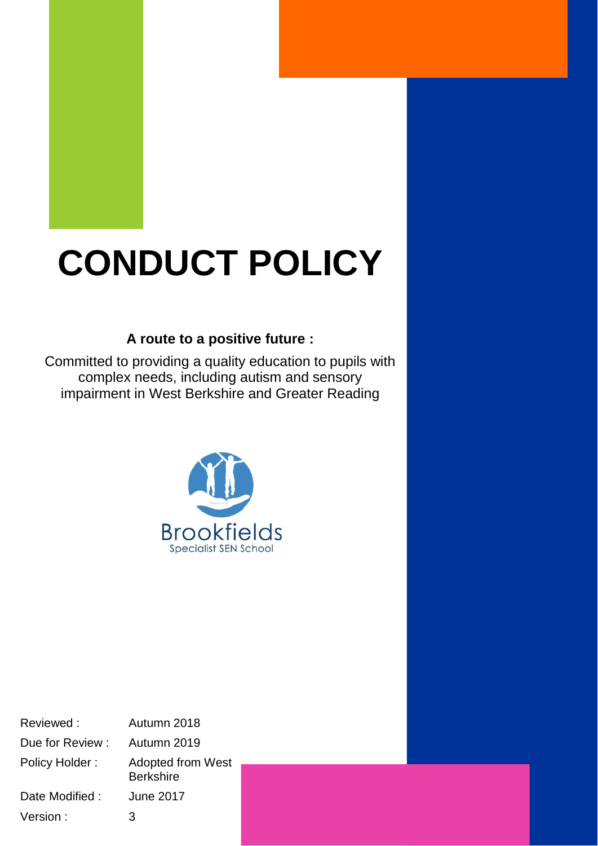# **CONDUCT POLICY**

# **A route to a positive future :**

Committed to providing a quality education to pupils with complex needs, including autism and sensory impairment in West Berkshire and Greater Reading



Reviewed : Autumn 2018 Due for Review : Autumn 2019 Policy Holder : Adopted from West **Berkshire** Date Modified : June 2017 Version : 3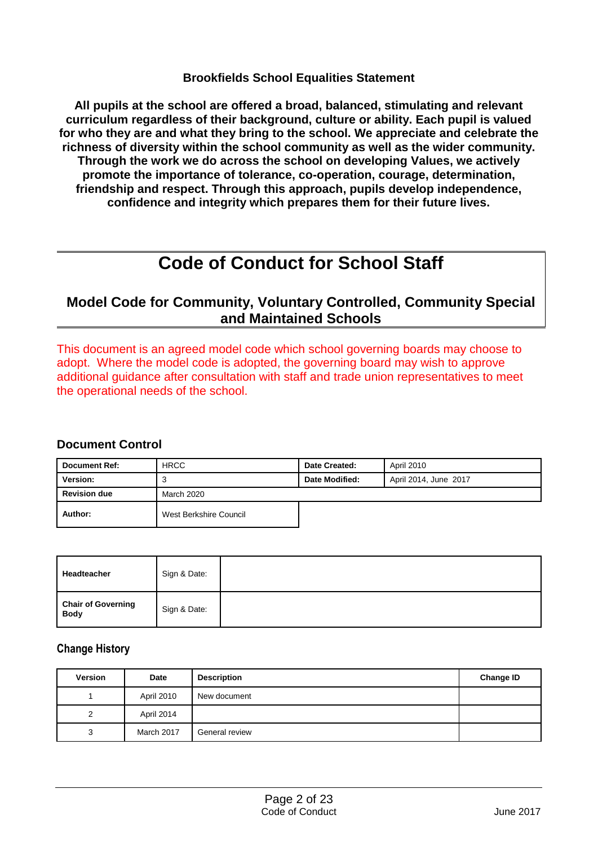#### **Brookfields School Equalities Statement**

**All pupils at the school are offered a broad, balanced, stimulating and relevant curriculum regardless of their background, culture or ability. Each pupil is valued for who they are and what they bring to the school. We appreciate and celebrate the richness of diversity within the school community as well as the wider community. Through the work we do across the school on developing Values, we actively promote the importance of tolerance, co-operation, courage, determination, friendship and respect. Through this approach, pupils develop independence, confidence and integrity which prepares them for their future lives.**

# **Code of Conduct for School Staff**

# **Model Code for Community, Voluntary Controlled, Community Special and Maintained Schools**

This document is an agreed model code which school governing boards may choose to adopt. Where the model code is adopted, the governing board may wish to approve additional guidance after consultation with staff and trade union representatives to meet the operational needs of the school.

#### **Document Control**

| <b>Document Ref:</b> | <b>HRCC</b>            | Date Created:  | April 2010            |
|----------------------|------------------------|----------------|-----------------------|
| Version:             | 3                      | Date Modified: | April 2014, June 2017 |
| <b>Revision due</b>  | March 2020             |                |                       |
| Author:              | West Berkshire Council |                |                       |

| Headteacher                              | Sign & Date: |  |
|------------------------------------------|--------------|--|
| <b>Chair of Governing</b><br><b>Body</b> | Sign & Date: |  |

#### **Change History**

| Version | Date       | <b>Description</b> | <b>Change ID</b> |
|---------|------------|--------------------|------------------|
|         | April 2010 | New document       |                  |
| 2       | April 2014 |                    |                  |
| 3       | March 2017 | General review     |                  |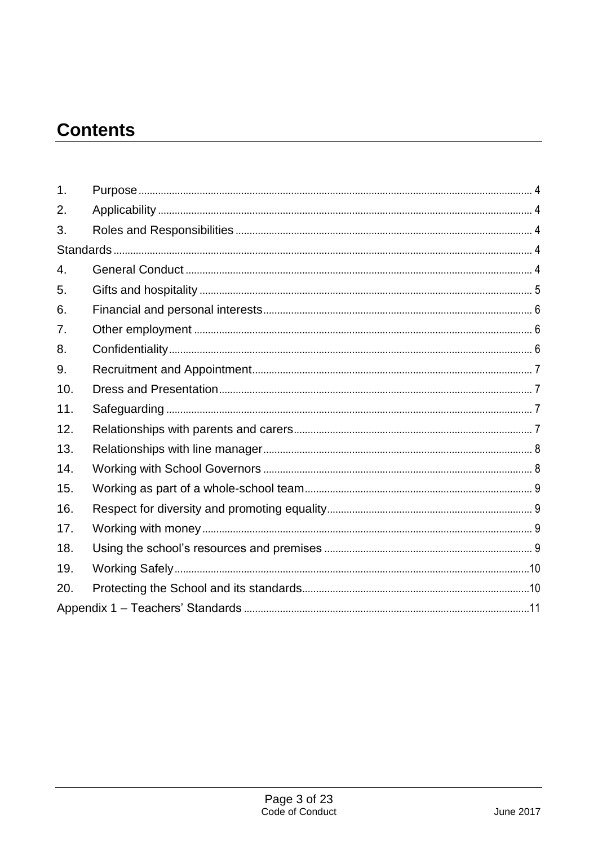# **Contents**

| $\mathbf 1$ .    |  |
|------------------|--|
| 2.               |  |
| 3.               |  |
|                  |  |
| $\overline{4}$ . |  |
| 5.               |  |
| 6.               |  |
| 7.               |  |
| 8.               |  |
| 9.               |  |
| 10.              |  |
| 11.              |  |
| 12.              |  |
| 13.              |  |
| 14.              |  |
| 15.              |  |
| 16.              |  |
| 17.              |  |
| 18.              |  |
| 19.              |  |
| 20.              |  |
|                  |  |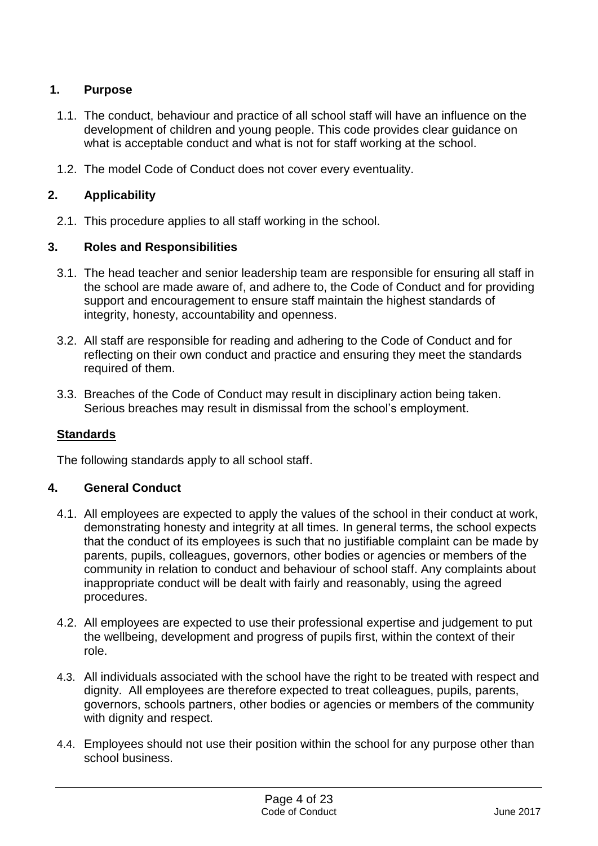# <span id="page-3-0"></span>**1. Purpose**

- 1.1. The conduct, behaviour and practice of all school staff will have an influence on the development of children and young people. This code provides clear guidance on what is acceptable conduct and what is not for staff working at the school.
- 1.2. The model Code of Conduct does not cover every eventuality.

#### <span id="page-3-1"></span>**2. Applicability**

2.1. This procedure applies to all staff working in the school.

#### <span id="page-3-2"></span>**3. Roles and Responsibilities**

- 3.1. The head teacher and senior leadership team are responsible for ensuring all staff in the school are made aware of, and adhere to, the Code of Conduct and for providing support and encouragement to ensure staff maintain the highest standards of integrity, honesty, accountability and openness.
- 3.2. All staff are responsible for reading and adhering to the Code of Conduct and for reflecting on their own conduct and practice and ensuring they meet the standards required of them.
- 3.3. Breaches of the Code of Conduct may result in disciplinary action being taken. Serious breaches may result in dismissal from the school's employment.

#### <span id="page-3-3"></span>**Standards**

The following standards apply to all school staff.

#### <span id="page-3-4"></span>**4. General Conduct**

- 4.1. All employees are expected to apply the values of the school in their conduct at work, demonstrating honesty and integrity at all times. In general terms, the school expects that the conduct of its employees is such that no justifiable complaint can be made by parents, pupils, colleagues, governors, other bodies or agencies or members of the community in relation to conduct and behaviour of school staff. Any complaints about inappropriate conduct will be dealt with fairly and reasonably, using the agreed procedures.
- 4.2. All employees are expected to use their professional expertise and judgement to put the wellbeing, development and progress of pupils first, within the context of their role.
- 4.3. All individuals associated with the school have the right to be treated with respect and dignity. All employees are therefore expected to treat colleagues, pupils, parents, governors, schools partners, other bodies or agencies or members of the community with dignity and respect.
- 4.4. Employees should not use their position within the school for any purpose other than school business.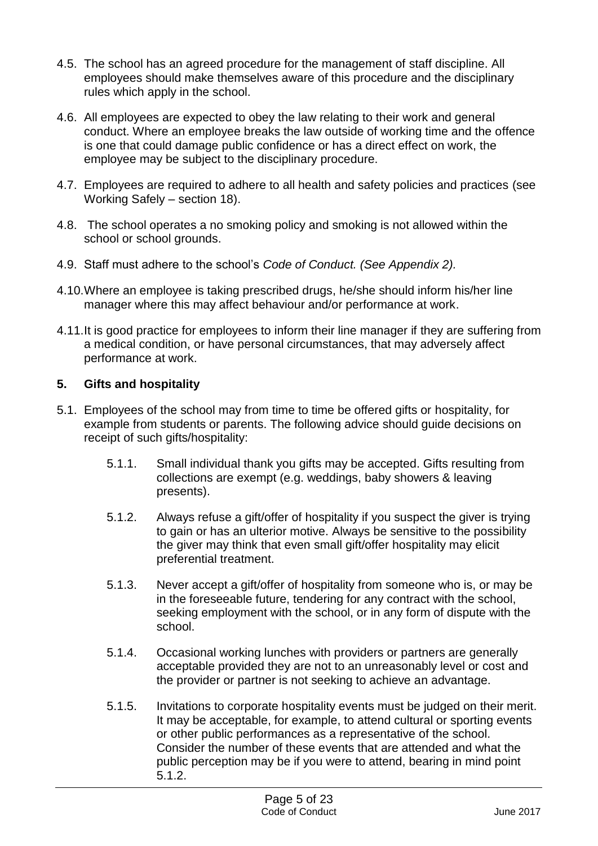- 4.5. The school has an agreed procedure for the management of staff discipline. All employees should make themselves aware of this procedure and the disciplinary rules which apply in the school.
- 4.6. All employees are expected to obey the law relating to their work and general conduct. Where an employee breaks the law outside of working time and the offence is one that could damage public confidence or has a direct effect on work, the employee may be subject to the disciplinary procedure.
- 4.7. Employees are required to adhere to all health and safety policies and practices (see Working Safely – section 18).
- 4.8. The school operates a no smoking policy and smoking is not allowed within the school or school grounds.
- 4.9. Staff must adhere to the school's *Code of Conduct. (See Appendix 2).*
- 4.10.Where an employee is taking prescribed drugs, he/she should inform his/her line manager where this may affect behaviour and/or performance at work.
- 4.11.It is good practice for employees to inform their line manager if they are suffering from a medical condition, or have personal circumstances, that may adversely affect performance at work.

# <span id="page-4-0"></span>**5. Gifts and hospitality**

- 5.1. Employees of the school may from time to time be offered gifts or hospitality, for example from students or parents. The following advice should guide decisions on receipt of such gifts/hospitality:
	- 5.1.1. Small individual thank you gifts may be accepted. Gifts resulting from collections are exempt (e.g. weddings, baby showers & leaving presents).
	- 5.1.2. Always refuse a gift/offer of hospitality if you suspect the giver is trying to gain or has an ulterior motive. Always be sensitive to the possibility the giver may think that even small gift/offer hospitality may elicit preferential treatment.
	- 5.1.3. Never accept a gift/offer of hospitality from someone who is, or may be in the foreseeable future, tendering for any contract with the school, seeking employment with the school, or in any form of dispute with the school.
	- 5.1.4. Occasional working lunches with providers or partners are generally acceptable provided they are not to an unreasonably level or cost and the provider or partner is not seeking to achieve an advantage.
	- 5.1.5. Invitations to corporate hospitality events must be judged on their merit. It may be acceptable, for example, to attend cultural or sporting events or other public performances as a representative of the school. Consider the number of these events that are attended and what the public perception may be if you were to attend, bearing in mind point 5.1.2.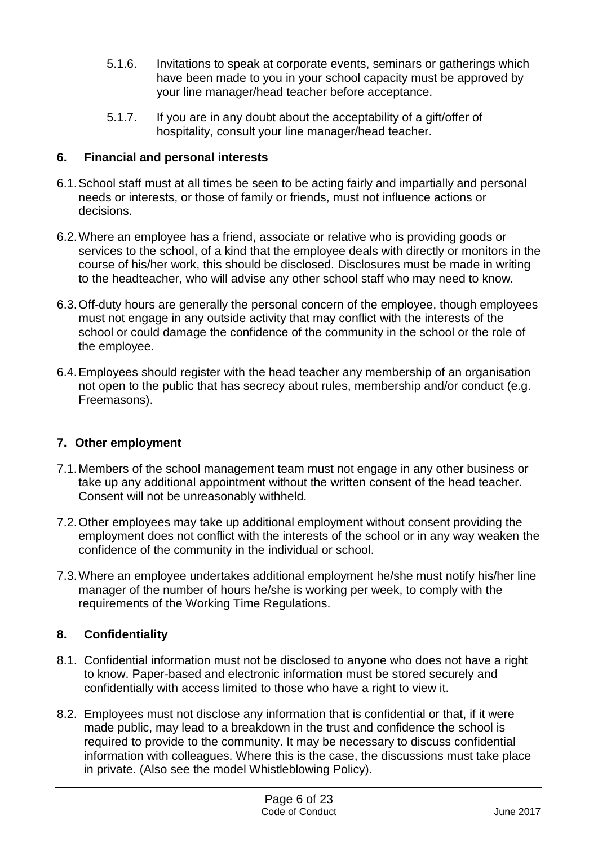- 5.1.6. Invitations to speak at corporate events, seminars or gatherings which have been made to you in your school capacity must be approved by your line manager/head teacher before acceptance.
- 5.1.7. If you are in any doubt about the acceptability of a gift/offer of hospitality, consult your line manager/head teacher.

#### <span id="page-5-0"></span>**6. Financial and personal interests**

- 6.1.School staff must at all times be seen to be acting fairly and impartially and personal needs or interests, or those of family or friends, must not influence actions or decisions.
- 6.2.Where an employee has a friend, associate or relative who is providing goods or services to the school, of a kind that the employee deals with directly or monitors in the course of his/her work, this should be disclosed. Disclosures must be made in writing to the headteacher, who will advise any other school staff who may need to know.
- 6.3.Off-duty hours are generally the personal concern of the employee, though employees must not engage in any outside activity that may conflict with the interests of the school or could damage the confidence of the community in the school or the role of the employee.
- 6.4.Employees should register with the head teacher any membership of an organisation not open to the public that has secrecy about rules, membership and/or conduct (e.g. Freemasons).

# <span id="page-5-1"></span>**7. Other employment**

- 7.1.Members of the school management team must not engage in any other business or take up any additional appointment without the written consent of the head teacher. Consent will not be unreasonably withheld.
- 7.2.Other employees may take up additional employment without consent providing the employment does not conflict with the interests of the school or in any way weaken the confidence of the community in the individual or school.
- 7.3.Where an employee undertakes additional employment he/she must notify his/her line manager of the number of hours he/she is working per week, to comply with the requirements of the Working Time Regulations.

# <span id="page-5-2"></span>**8. Confidentiality**

- 8.1. Confidential information must not be disclosed to anyone who does not have a right to know. Paper-based and electronic information must be stored securely and confidentially with access limited to those who have a right to view it.
- 8.2. Employees must not disclose any information that is confidential or that, if it were made public, may lead to a breakdown in the trust and confidence the school is required to provide to the community. It may be necessary to discuss confidential information with colleagues. Where this is the case, the discussions must take place in private. (Also see the model Whistleblowing Policy).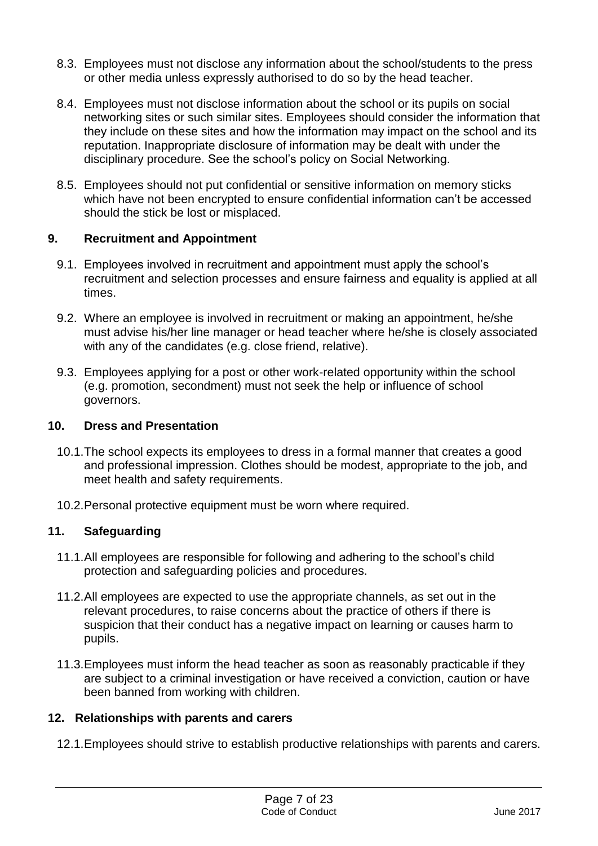- 8.3. Employees must not disclose any information about the school/students to the press or other media unless expressly authorised to do so by the head teacher.
- 8.4. Employees must not disclose information about the school or its pupils on social networking sites or such similar sites. Employees should consider the information that they include on these sites and how the information may impact on the school and its reputation. Inappropriate disclosure of information may be dealt with under the disciplinary procedure. See the school's policy on Social Networking.
- 8.5. Employees should not put confidential or sensitive information on memory sticks which have not been encrypted to ensure confidential information can't be accessed should the stick be lost or misplaced.

#### <span id="page-6-0"></span>**9. Recruitment and Appointment**

- 9.1. Employees involved in recruitment and appointment must apply the school's recruitment and selection processes and ensure fairness and equality is applied at all times.
- 9.2. Where an employee is involved in recruitment or making an appointment, he/she must advise his/her line manager or head teacher where he/she is closely associated with any of the candidates (e.g. close friend, relative).
- 9.3. Employees applying for a post or other work-related opportunity within the school (e.g. promotion, secondment) must not seek the help or influence of school governors.

#### <span id="page-6-1"></span>**10. Dress and Presentation**

- 10.1.The school expects its employees to dress in a formal manner that creates a good and professional impression. Clothes should be modest, appropriate to the job, and meet health and safety requirements.
- 10.2.Personal protective equipment must be worn where required.

#### <span id="page-6-2"></span>**11. Safeguarding**

- 11.1.All employees are responsible for following and adhering to the school's child protection and safeguarding policies and procedures.
- 11.2.All employees are expected to use the appropriate channels, as set out in the relevant procedures, to raise concerns about the practice of others if there is suspicion that their conduct has a negative impact on learning or causes harm to pupils.
- 11.3.Employees must inform the head teacher as soon as reasonably practicable if they are subject to a criminal investigation or have received a conviction, caution or have been banned from working with children.

#### <span id="page-6-3"></span>**12. Relationships with parents and carers**

12.1.Employees should strive to establish productive relationships with parents and carers.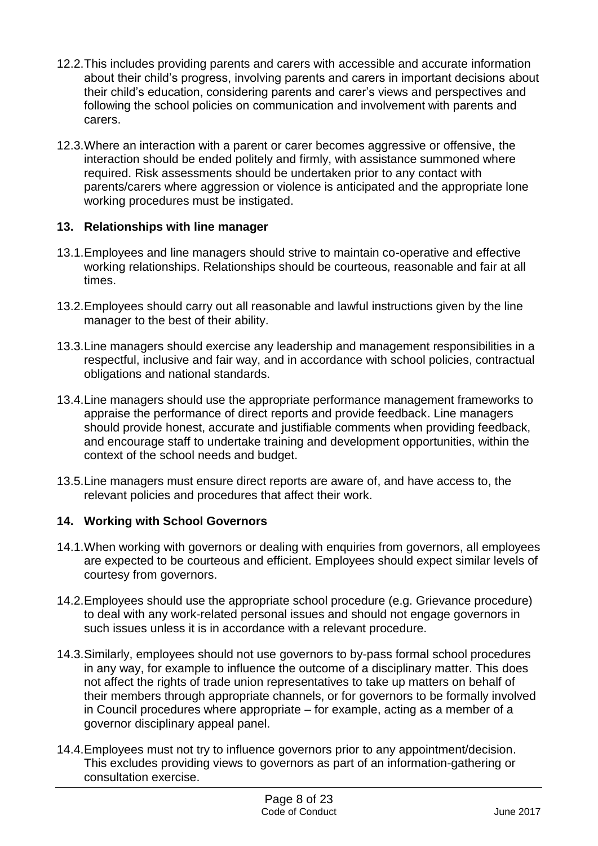- 12.2.This includes providing parents and carers with accessible and accurate information about their child's progress, involving parents and carers in important decisions about their child's education, considering parents and carer's views and perspectives and following the school policies on communication and involvement with parents and carers.
- 12.3.Where an interaction with a parent or carer becomes aggressive or offensive, the interaction should be ended politely and firmly, with assistance summoned where required. Risk assessments should be undertaken prior to any contact with parents/carers where aggression or violence is anticipated and the appropriate lone working procedures must be instigated.

#### <span id="page-7-0"></span>**13. Relationships with line manager**

- 13.1.Employees and line managers should strive to maintain co-operative and effective working relationships. Relationships should be courteous, reasonable and fair at all times.
- 13.2.Employees should carry out all reasonable and lawful instructions given by the line manager to the best of their ability.
- 13.3.Line managers should exercise any leadership and management responsibilities in a respectful, inclusive and fair way, and in accordance with school policies, contractual obligations and national standards.
- 13.4.Line managers should use the appropriate performance management frameworks to appraise the performance of direct reports and provide feedback. Line managers should provide honest, accurate and justifiable comments when providing feedback, and encourage staff to undertake training and development opportunities, within the context of the school needs and budget.
- 13.5.Line managers must ensure direct reports are aware of, and have access to, the relevant policies and procedures that affect their work.

# <span id="page-7-1"></span>**14. Working with School Governors**

- 14.1.When working with governors or dealing with enquiries from governors, all employees are expected to be courteous and efficient. Employees should expect similar levels of courtesy from governors.
- 14.2.Employees should use the appropriate school procedure (e.g. Grievance procedure) to deal with any work-related personal issues and should not engage governors in such issues unless it is in accordance with a relevant procedure.
- 14.3.Similarly, employees should not use governors to by-pass formal school procedures in any way, for example to influence the outcome of a disciplinary matter. This does not affect the rights of trade union representatives to take up matters on behalf of their members through appropriate channels, or for governors to be formally involved in Council procedures where appropriate – for example, acting as a member of a governor disciplinary appeal panel.
- 14.4.Employees must not try to influence governors prior to any appointment/decision. This excludes providing views to governors as part of an information-gathering or consultation exercise.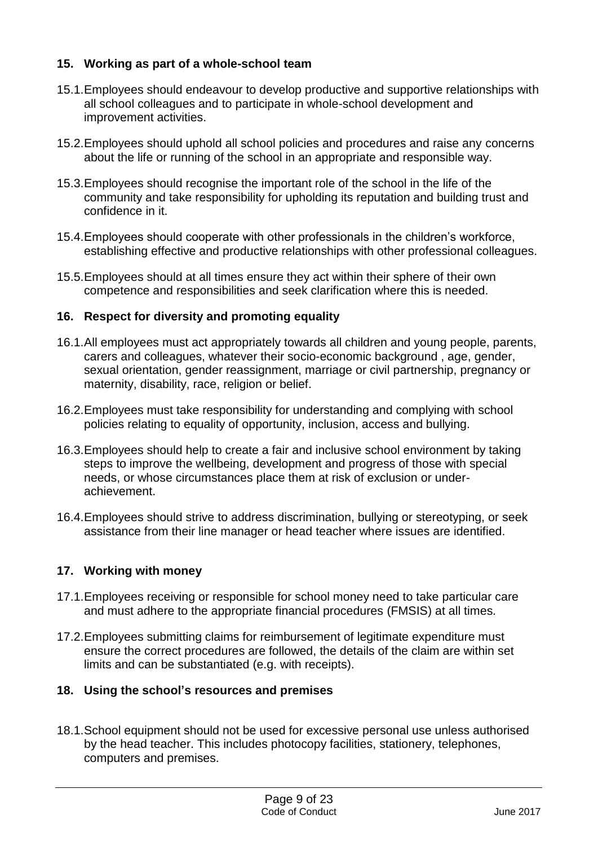# <span id="page-8-0"></span>**15. Working as part of a whole-school team**

- 15.1.Employees should endeavour to develop productive and supportive relationships with all school colleagues and to participate in whole-school development and improvement activities.
- 15.2.Employees should uphold all school policies and procedures and raise any concerns about the life or running of the school in an appropriate and responsible way.
- 15.3.Employees should recognise the important role of the school in the life of the community and take responsibility for upholding its reputation and building trust and confidence in it.
- 15.4.Employees should cooperate with other professionals in the children's workforce, establishing effective and productive relationships with other professional colleagues.
- 15.5.Employees should at all times ensure they act within their sphere of their own competence and responsibilities and seek clarification where this is needed.

# <span id="page-8-1"></span>**16. Respect for diversity and promoting equality**

- 16.1.All employees must act appropriately towards all children and young people, parents, carers and colleagues, whatever their socio-economic background , age, gender, sexual orientation, gender reassignment, marriage or civil partnership, pregnancy or maternity, disability, race, religion or belief.
- 16.2.Employees must take responsibility for understanding and complying with school policies relating to equality of opportunity, inclusion, access and bullying.
- 16.3.Employees should help to create a fair and inclusive school environment by taking steps to improve the wellbeing, development and progress of those with special needs, or whose circumstances place them at risk of exclusion or underachievement.
- 16.4.Employees should strive to address discrimination, bullying or stereotyping, or seek assistance from their line manager or head teacher where issues are identified.

#### <span id="page-8-2"></span>**17. Working with money**

- 17.1.Employees receiving or responsible for school money need to take particular care and must adhere to the appropriate financial procedures (FMSIS) at all times.
- 17.2.Employees submitting claims for reimbursement of legitimate expenditure must ensure the correct procedures are followed, the details of the claim are within set limits and can be substantiated (e.g. with receipts).

#### <span id="page-8-3"></span>**18. Using the school's resources and premises**

18.1.School equipment should not be used for excessive personal use unless authorised by the head teacher. This includes photocopy facilities, stationery, telephones, computers and premises.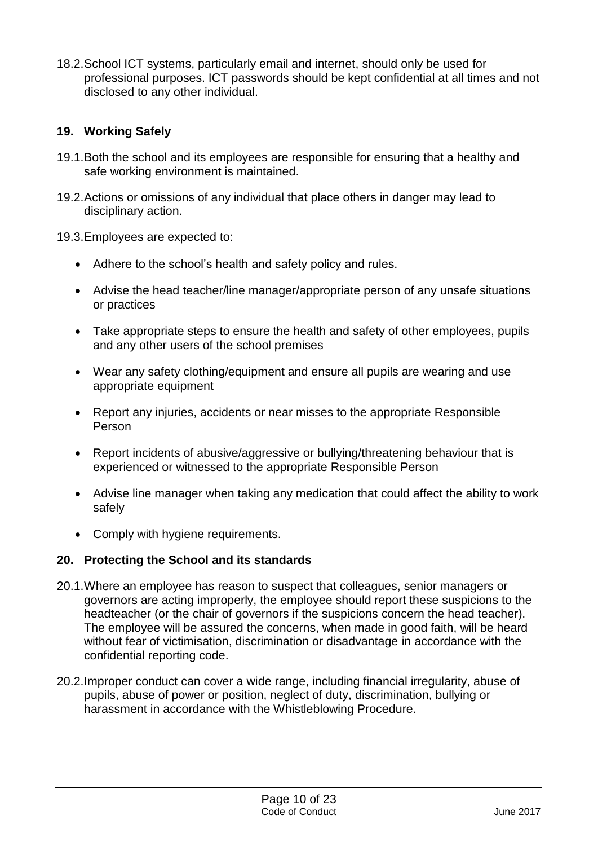18.2.School ICT systems, particularly email and internet, should only be used for professional purposes. ICT passwords should be kept confidential at all times and not disclosed to any other individual.

# <span id="page-9-0"></span>**19. Working Safely**

- 19.1.Both the school and its employees are responsible for ensuring that a healthy and safe working environment is maintained.
- 19.2.Actions or omissions of any individual that place others in danger may lead to disciplinary action.
- 19.3.Employees are expected to:
	- Adhere to the school's health and safety policy and rules.
	- Advise the head teacher/line manager/appropriate person of any unsafe situations or practices
	- Take appropriate steps to ensure the health and safety of other employees, pupils and any other users of the school premises
	- Wear any safety clothing/equipment and ensure all pupils are wearing and use appropriate equipment
	- Report any injuries, accidents or near misses to the appropriate Responsible Person
	- Report incidents of abusive/aggressive or bullying/threatening behaviour that is experienced or witnessed to the appropriate Responsible Person
	- Advise line manager when taking any medication that could affect the ability to work safely
	- Comply with hygiene requirements.

#### <span id="page-9-1"></span>**20. Protecting the School and its standards**

- 20.1.Where an employee has reason to suspect that colleagues, senior managers or governors are acting improperly, the employee should report these suspicions to the headteacher (or the chair of governors if the suspicions concern the head teacher). The employee will be assured the concerns, when made in good faith, will be heard without fear of victimisation, discrimination or disadvantage in accordance with the confidential reporting code.
- 20.2.Improper conduct can cover a wide range, including financial irregularity, abuse of pupils, abuse of power or position, neglect of duty, discrimination, bullying or harassment in accordance with the Whistleblowing Procedure.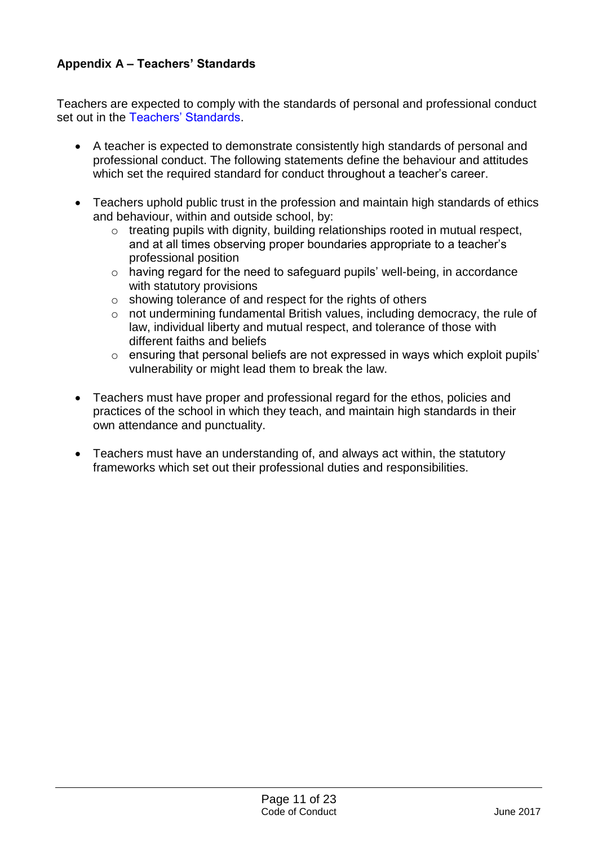# <span id="page-10-0"></span>**Appendix A – Teachers' Standards**

Teachers are expected to comply with the standards of personal and professional conduct set out in the [Teachers' Standards.](https://www.gov.uk/government/publications/teachers-standards)

- A teacher is expected to demonstrate consistently high standards of personal and professional conduct. The following statements define the behaviour and attitudes which set the required standard for conduct throughout a teacher's career.
- Teachers uphold public trust in the profession and maintain high standards of ethics and behaviour, within and outside school, by:
	- o treating pupils with dignity, building relationships rooted in mutual respect, and at all times observing proper boundaries appropriate to a teacher's professional position
	- o having regard for the need to safeguard pupils' well-being, in accordance with statutory provisions
	- o showing tolerance of and respect for the rights of others
	- o not undermining fundamental British values, including democracy, the rule of law, individual liberty and mutual respect, and tolerance of those with different faiths and beliefs
	- o ensuring that personal beliefs are not expressed in ways which exploit pupils' vulnerability or might lead them to break the law.
- Teachers must have proper and professional regard for the ethos, policies and practices of the school in which they teach, and maintain high standards in their own attendance and punctuality.
- Teachers must have an understanding of, and always act within, the statutory frameworks which set out their professional duties and responsibilities.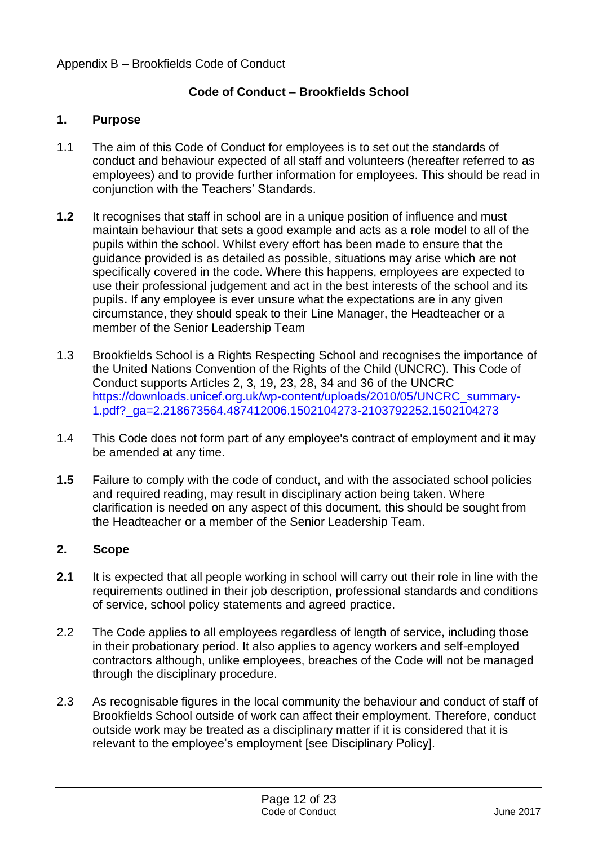#### Appendix B – Brookfields Code of Conduct

# **Code of Conduct – Brookfields School**

#### **1. Purpose**

- 1.1 The aim of this Code of Conduct for employees is to set out the standards of conduct and behaviour expected of all staff and volunteers (hereafter referred to as employees) and to provide further information for employees. This should be read in conjunction with the Teachers' Standards.
- **1.2** It recognises that staff in school are in a unique position of influence and must maintain behaviour that sets a good example and acts as a role model to all of the pupils within the school. Whilst every effort has been made to ensure that the guidance provided is as detailed as possible, situations may arise which are not specifically covered in the code. Where this happens, employees are expected to use their professional judgement and act in the best interests of the school and its pupils**.** If any employee is ever unsure what the expectations are in any given circumstance, they should speak to their Line Manager, the Headteacher or a member of the Senior Leadership Team
- 1.3 Brookfields School is a Rights Respecting School and recognises the importance of the United Nations Convention of the Rights of the Child (UNCRC). This Code of Conduct supports Articles 2, 3, 19, 23, 28, 34 and 36 of the UNCRC [https://downloads.unicef.org.uk/wp-content/uploads/2010/05/UNCRC\\_summary-](https://downloads.unicef.org.uk/wp-content/uploads/2010/05/UNCRC_summary-1.pdf?_ga=2.218673564.487412006.1502104273-2103792252.1502104273)[1.pdf?\\_ga=2.218673564.487412006.1502104273-2103792252.1502104273](https://downloads.unicef.org.uk/wp-content/uploads/2010/05/UNCRC_summary-1.pdf?_ga=2.218673564.487412006.1502104273-2103792252.1502104273)
- 1.4 This Code does not form part of any employee's contract of employment and it may be amended at any time.
- **1.5** Failure to comply with the code of conduct, and with the associated school policies and required reading, may result in disciplinary action being taken. Where clarification is needed on any aspect of this document, this should be sought from the Headteacher or a member of the Senior Leadership Team.

#### **2. Scope**

- **2.1** It is expected that all people working in school will carry out their role in line with the requirements outlined in their job description, professional standards and conditions of service, school policy statements and agreed practice.
- 2.2 The Code applies to all employees regardless of length of service, including those in their probationary period. It also applies to agency workers and self-employed contractors although, unlike employees, breaches of the Code will not be managed through the disciplinary procedure.
- 2.3 As recognisable figures in the local community the behaviour and conduct of staff of Brookfields School outside of work can affect their employment. Therefore, conduct outside work may be treated as a disciplinary matter if it is considered that it is relevant to the employee's employment [see Disciplinary Policy].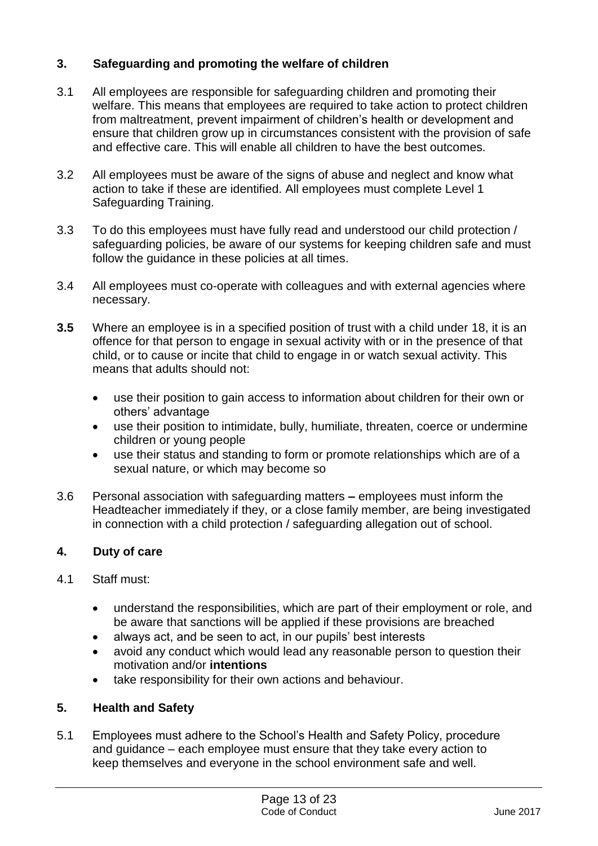# **3. Safeguarding and promoting the welfare of children**

- 3.1 All employees are responsible for safeguarding children and promoting their welfare. This means that employees are required to take action to protect children from maltreatment, prevent impairment of children's health or development and ensure that children grow up in circumstances consistent with the provision of safe and effective care. This will enable all children to have the best outcomes.
- 3.2 All employees must be aware of the signs of abuse and neglect and know what action to take if these are identified. All employees must complete Level 1 Safeguarding Training.
- 3.3 To do this employees must have fully read and understood our child protection / safeguarding policies, be aware of our systems for keeping children safe and must follow the guidance in these policies at all times.
- 3.4 All employees must co-operate with colleagues and with external agencies where necessary.
- **3.5** Where an employee is in a specified position of trust with a child under 18, it is an offence for that person to engage in sexual activity with or in the presence of that child, or to cause or incite that child to engage in or watch sexual activity. This means that adults should not:
	- use their position to gain access to information about children for their own or others' advantage
	- use their position to intimidate, bully, humiliate, threaten, coerce or undermine children or young people
	- use their status and standing to form or promote relationships which are of a sexual nature, or which may become so
- 3.6 Personal association with safeguarding matters **–** employees must inform the Headteacher immediately if they, or a close family member, are being investigated in connection with a child protection / safeguarding allegation out of school.

#### **4. Duty of care**

- 4.1 Staff must:
	- understand the responsibilities, which are part of their employment or role, and be aware that sanctions will be applied if these provisions are breached
	- always act, and be seen to act, in our pupils' best interests
	- avoid any conduct which would lead any reasonable person to question their motivation and/or **intentions**
	- take responsibility for their own actions and behaviour.

#### **5. Health and Safety**

5.1 Employees must adhere to the School's Health and Safety Policy, procedure and guidance – each employee must ensure that they take every action to keep themselves and everyone in the school environment safe and well.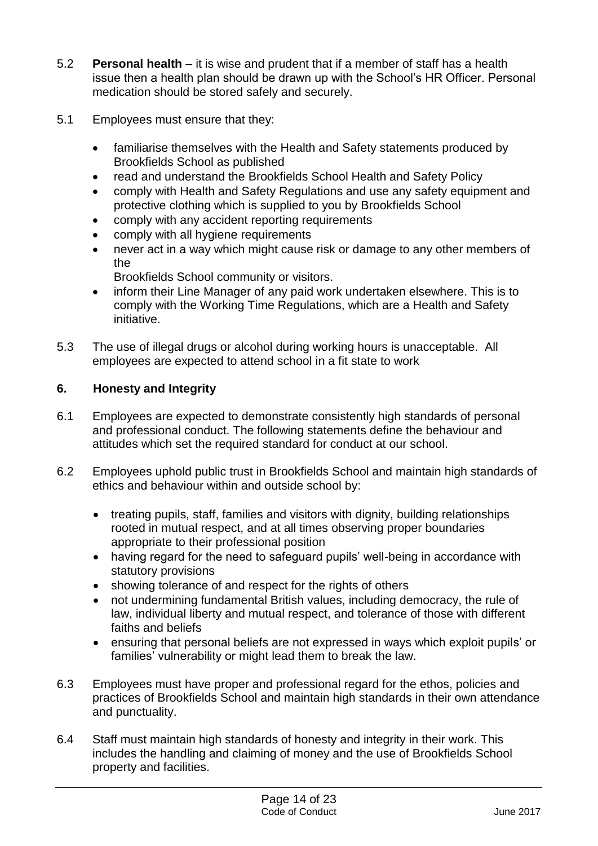- 5.2 **Personal health** it is wise and prudent that if a member of staff has a health issue then a health plan should be drawn up with the School's HR Officer. Personal medication should be stored safely and securely.
- 5.1 Employees must ensure that they:
	- familiarise themselves with the Health and Safety statements produced by Brookfields School as published
	- read and understand the Brookfields School Health and Safety Policy
	- comply with Health and Safety Regulations and use any safety equipment and protective clothing which is supplied to you by Brookfields School
	- comply with any accident reporting requirements
	- comply with all hygiene requirements
	- never act in a way which might cause risk or damage to any other members of the

Brookfields School community or visitors.

- inform their Line Manager of any paid work undertaken elsewhere. This is to comply with the Working Time Regulations, which are a Health and Safety initiative.
- 5.3 The use of illegal drugs or alcohol during working hours is unacceptable. All employees are expected to attend school in a fit state to work

# **6. Honesty and Integrity**

- 6.1 Employees are expected to demonstrate consistently high standards of personal and professional conduct. The following statements define the behaviour and attitudes which set the required standard for conduct at our school.
- 6.2 Employees uphold public trust in Brookfields School and maintain high standards of ethics and behaviour within and outside school by:
	- treating pupils, staff, families and visitors with dignity, building relationships rooted in mutual respect, and at all times observing proper boundaries appropriate to their professional position
	- having regard for the need to safeguard pupils' well-being in accordance with statutory provisions
	- showing tolerance of and respect for the rights of others
	- not undermining fundamental British values, including democracy, the rule of law, individual liberty and mutual respect, and tolerance of those with different faiths and beliefs
	- ensuring that personal beliefs are not expressed in ways which exploit pupils' or families' vulnerability or might lead them to break the law.
- 6.3 Employees must have proper and professional regard for the ethos, policies and practices of Brookfields School and maintain high standards in their own attendance and punctuality.
- 6.4 Staff must maintain high standards of honesty and integrity in their work. This includes the handling and claiming of money and the use of Brookfields School property and facilities.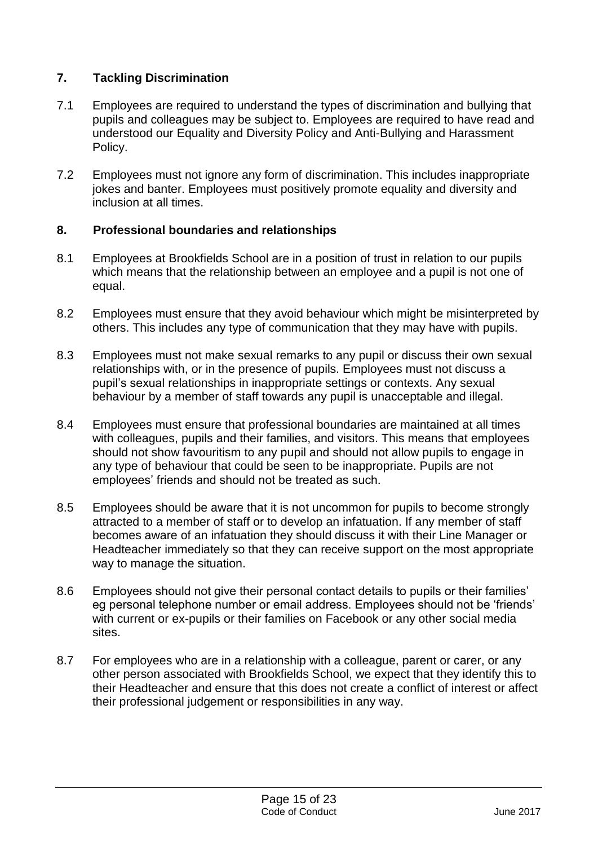# **7. Tackling Discrimination**

- 7.1 Employees are required to understand the types of discrimination and bullying that pupils and colleagues may be subject to. Employees are required to have read and understood our Equality and Diversity Policy and Anti-Bullying and Harassment Policy.
- 7.2 Employees must not ignore any form of discrimination. This includes inappropriate jokes and banter. Employees must positively promote equality and diversity and inclusion at all times.

#### **8. Professional boundaries and relationships**

- 8.1 Employees at Brookfields School are in a position of trust in relation to our pupils which means that the relationship between an employee and a pupil is not one of equal.
- 8.2 Employees must ensure that they avoid behaviour which might be misinterpreted by others. This includes any type of communication that they may have with pupils.
- 8.3 Employees must not make sexual remarks to any pupil or discuss their own sexual relationships with, or in the presence of pupils. Employees must not discuss a pupil's sexual relationships in inappropriate settings or contexts. Any sexual behaviour by a member of staff towards any pupil is unacceptable and illegal.
- 8.4 Employees must ensure that professional boundaries are maintained at all times with colleagues, pupils and their families, and visitors. This means that employees should not show favouritism to any pupil and should not allow pupils to engage in any type of behaviour that could be seen to be inappropriate. Pupils are not employees' friends and should not be treated as such.
- 8.5 Employees should be aware that it is not uncommon for pupils to become strongly attracted to a member of staff or to develop an infatuation. If any member of staff becomes aware of an infatuation they should discuss it with their Line Manager or Headteacher immediately so that they can receive support on the most appropriate way to manage the situation.
- 8.6 Employees should not give their personal contact details to pupils or their families' eg personal telephone number or email address. Employees should not be 'friends' with current or ex-pupils or their families on Facebook or any other social media sites.
- 8.7 For employees who are in a relationship with a colleague, parent or carer, or any other person associated with Brookfields School, we expect that they identify this to their Headteacher and ensure that this does not create a conflict of interest or affect their professional judgement or responsibilities in any way.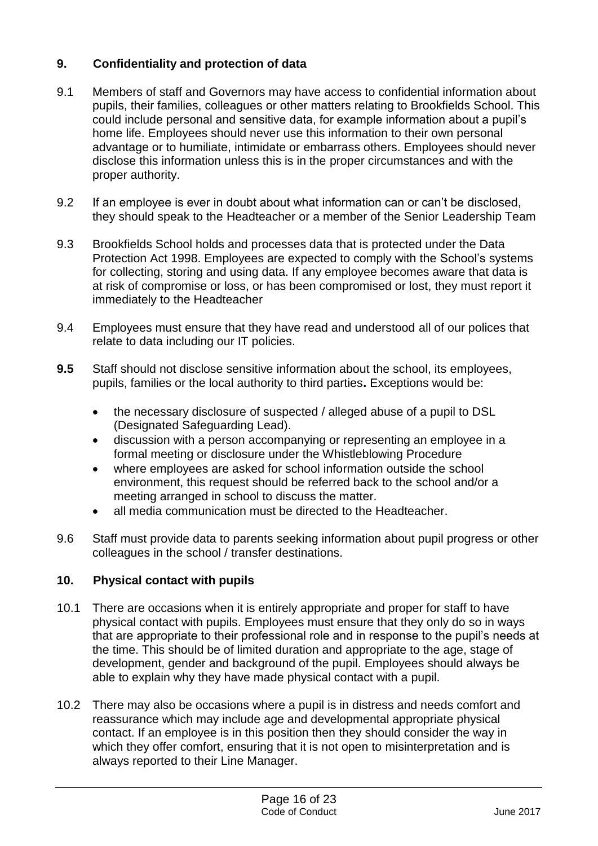# **9. Confidentiality and protection of data**

- 9.1 Members of staff and Governors may have access to confidential information about pupils, their families, colleagues or other matters relating to Brookfields School. This could include personal and sensitive data, for example information about a pupil's home life. Employees should never use this information to their own personal advantage or to humiliate, intimidate or embarrass others. Employees should never disclose this information unless this is in the proper circumstances and with the proper authority.
- 9.2 If an employee is ever in doubt about what information can or can't be disclosed, they should speak to the Headteacher or a member of the Senior Leadership Team
- 9.3 Brookfields School holds and processes data that is protected under the Data Protection Act 1998. Employees are expected to comply with the School's systems for collecting, storing and using data. If any employee becomes aware that data is at risk of compromise or loss, or has been compromised or lost, they must report it immediately to the Headteacher
- 9.4 Employees must ensure that they have read and understood all of our polices that relate to data including our IT policies.
- **9.5** Staff should not disclose sensitive information about the school, its employees, pupils, families or the local authority to third parties**.** Exceptions would be:
	- the necessary disclosure of suspected / alleged abuse of a pupil to DSL (Designated Safeguarding Lead).
	- discussion with a person accompanying or representing an employee in a formal meeting or disclosure under the Whistleblowing Procedure
	- where employees are asked for school information outside the school environment, this request should be referred back to the school and/or a meeting arranged in school to discuss the matter.
	- all media communication must be directed to the Headteacher.
- 9.6 Staff must provide data to parents seeking information about pupil progress or other colleagues in the school / transfer destinations.

# **10. Physical contact with pupils**

- 10.1 There are occasions when it is entirely appropriate and proper for staff to have physical contact with pupils. Employees must ensure that they only do so in ways that are appropriate to their professional role and in response to the pupil's needs at the time. This should be of limited duration and appropriate to the age, stage of development, gender and background of the pupil. Employees should always be able to explain why they have made physical contact with a pupil.
- 10.2 There may also be occasions where a pupil is in distress and needs comfort and reassurance which may include age and developmental appropriate physical contact. If an employee is in this position then they should consider the way in which they offer comfort, ensuring that it is not open to misinterpretation and is always reported to their Line Manager.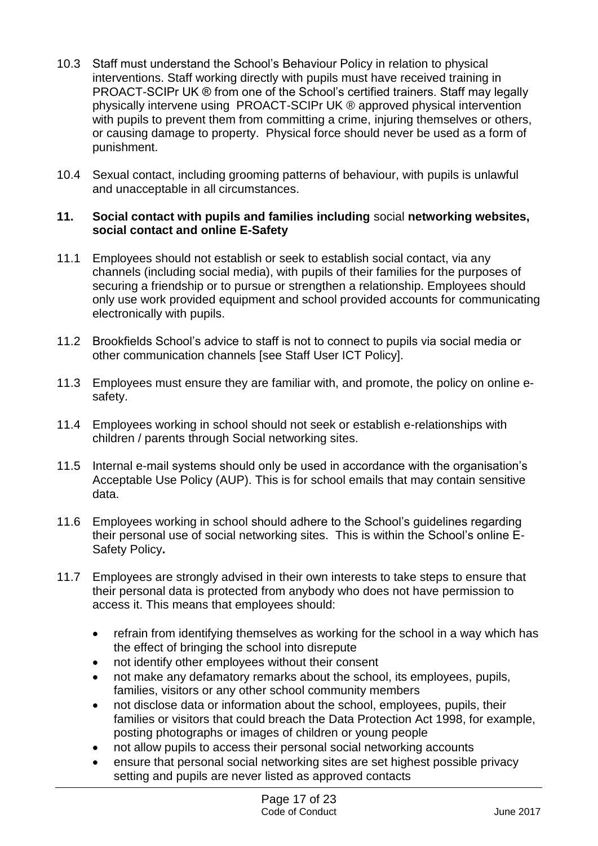- 10.3 Staff must understand the School's Behaviour Policy in relation to physical interventions. Staff working directly with pupils must have received training in PROACT-SCIPr UK ® from one of the School's certified trainers. Staff may legally physically intervene using PROACT-SCIPr UK ® approved physical intervention with pupils to prevent them from committing a crime, injuring themselves or others, or causing damage to property. Physical force should never be used as a form of punishment.
- 10.4 Sexual contact, including grooming patterns of behaviour, with pupils is unlawful and unacceptable in all circumstances.

#### **11. Social contact with pupils and families including** social **networking websites, social contact and online E-Safety**

- 11.1 Employees should not establish or seek to establish social contact, via any channels (including social media), with pupils of their families for the purposes of securing a friendship or to pursue or strengthen a relationship. Employees should only use work provided equipment and school provided accounts for communicating electronically with pupils.
- 11.2 Brookfields School's advice to staff is not to connect to pupils via social media or other communication channels [see Staff User ICT Policy].
- 11.3 Employees must ensure they are familiar with, and promote, the policy on online esafety.
- 11.4 Employees working in school should not seek or establish e-relationships with children / parents through Social networking sites.
- 11.5 Internal e-mail systems should only be used in accordance with the organisation's Acceptable Use Policy (AUP). This is for school emails that may contain sensitive data.
- 11.6 Employees working in school should adhere to the School's guidelines regarding their personal use of social networking sites. This is within the School's online E-Safety Policy**.**
- 11.7 Employees are strongly advised in their own interests to take steps to ensure that their personal data is protected from anybody who does not have permission to access it. This means that employees should:
	- refrain from identifying themselves as working for the school in a way which has the effect of bringing the school into disrepute
	- not identify other employees without their consent
	- not make any defamatory remarks about the school, its employees, pupils, families, visitors or any other school community members
	- not disclose data or information about the school, employees, pupils, their families or visitors that could breach the Data Protection Act 1998, for example, posting photographs or images of children or young people
	- not allow pupils to access their personal social networking accounts
	- ensure that personal social networking sites are set highest possible privacy setting and pupils are never listed as approved contacts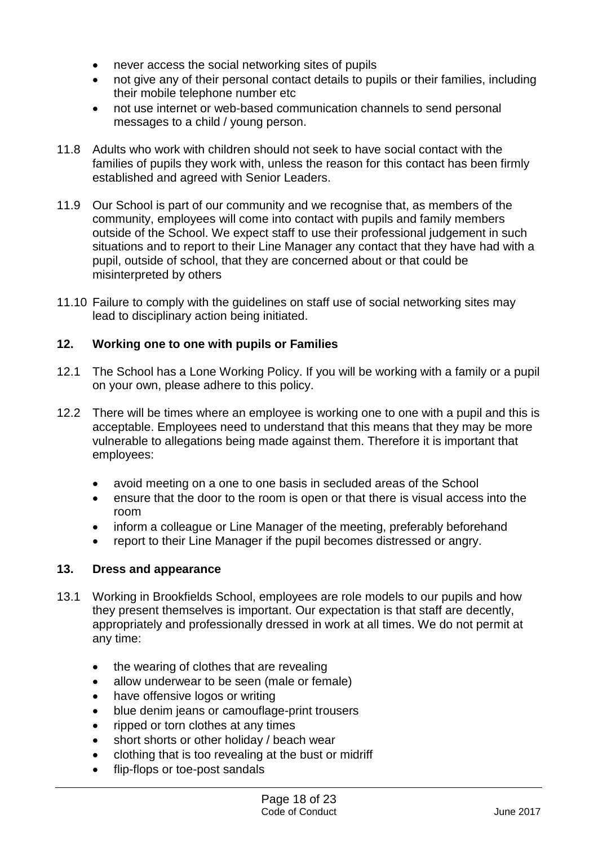- never access the social networking sites of pupils
- not give any of their personal contact details to pupils or their families, including their mobile telephone number etc
- not use internet or web-based communication channels to send personal messages to a child / young person.
- 11.8 Adults who work with children should not seek to have social contact with the families of pupils they work with, unless the reason for this contact has been firmly established and agreed with Senior Leaders.
- 11.9 Our School is part of our community and we recognise that, as members of the community, employees will come into contact with pupils and family members outside of the School. We expect staff to use their professional judgement in such situations and to report to their Line Manager any contact that they have had with a pupil, outside of school, that they are concerned about or that could be misinterpreted by others
- 11.10 Failure to comply with the guidelines on staff use of social networking sites may lead to disciplinary action being initiated.

# **12. Working one to one with pupils or Families**

- 12.1 The School has a Lone Working Policy. If you will be working with a family or a pupil on your own, please adhere to this policy.
- 12.2 There will be times where an employee is working one to one with a pupil and this is acceptable. Employees need to understand that this means that they may be more vulnerable to allegations being made against them. Therefore it is important that employees:
	- avoid meeting on a one to one basis in secluded areas of the School
	- ensure that the door to the room is open or that there is visual access into the room
	- inform a colleague or Line Manager of the meeting, preferably beforehand
	- report to their Line Manager if the pupil becomes distressed or angry.

#### **13. Dress and appearance**

- 13.1 Working in Brookfields School, employees are role models to our pupils and how they present themselves is important. Our expectation is that staff are decently, appropriately and professionally dressed in work at all times. We do not permit at any time:
	- the wearing of clothes that are revealing
	- allow underwear to be seen (male or female)
	- have offensive logos or writing
	- blue denim jeans or camouflage-print trousers
	- ripped or torn clothes at any times
	- short shorts or other holiday / beach wear
	- clothing that is too revealing at the bust or midriff
	- flip-flops or toe-post sandals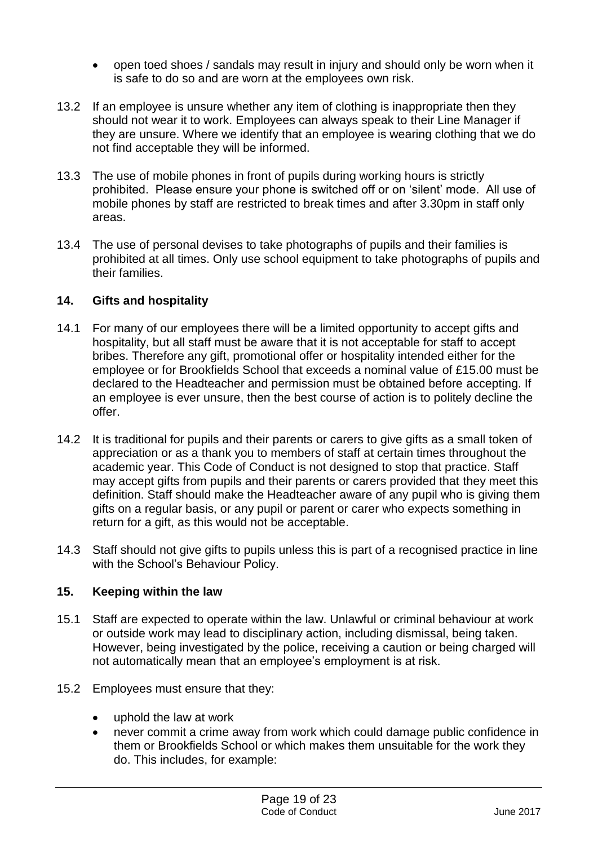- open toed shoes / sandals may result in injury and should only be worn when it is safe to do so and are worn at the employees own risk.
- 13.2 If an employee is unsure whether any item of clothing is inappropriate then they should not wear it to work. Employees can always speak to their Line Manager if they are unsure. Where we identify that an employee is wearing clothing that we do not find acceptable they will be informed.
- 13.3 The use of mobile phones in front of pupils during working hours is strictly prohibited. Please ensure your phone is switched off or on 'silent' mode. All use of mobile phones by staff are restricted to break times and after 3.30pm in staff only areas.
- 13.4 The use of personal devises to take photographs of pupils and their families is prohibited at all times. Only use school equipment to take photographs of pupils and their families.

#### **14. Gifts and hospitality**

- 14.1 For many of our employees there will be a limited opportunity to accept gifts and hospitality, but all staff must be aware that it is not acceptable for staff to accept bribes. Therefore any gift, promotional offer or hospitality intended either for the employee or for Brookfields School that exceeds a nominal value of £15.00 must be declared to the Headteacher and permission must be obtained before accepting. If an employee is ever unsure, then the best course of action is to politely decline the offer.
- 14.2 It is traditional for pupils and their parents or carers to give gifts as a small token of appreciation or as a thank you to members of staff at certain times throughout the academic year. This Code of Conduct is not designed to stop that practice. Staff may accept gifts from pupils and their parents or carers provided that they meet this definition. Staff should make the Headteacher aware of any pupil who is giving them gifts on a regular basis, or any pupil or parent or carer who expects something in return for a gift, as this would not be acceptable.
- 14.3 Staff should not give gifts to pupils unless this is part of a recognised practice in line with the School's Behaviour Policy.

#### **15. Keeping within the law**

- 15.1 Staff are expected to operate within the law. Unlawful or criminal behaviour at work or outside work may lead to disciplinary action, including dismissal, being taken. However, being investigated by the police, receiving a caution or being charged will not automatically mean that an employee's employment is at risk.
- 15.2 Employees must ensure that they:
	- uphold the law at work
	- never commit a crime away from work which could damage public confidence in them or Brookfields School or which makes them unsuitable for the work they do. This includes, for example: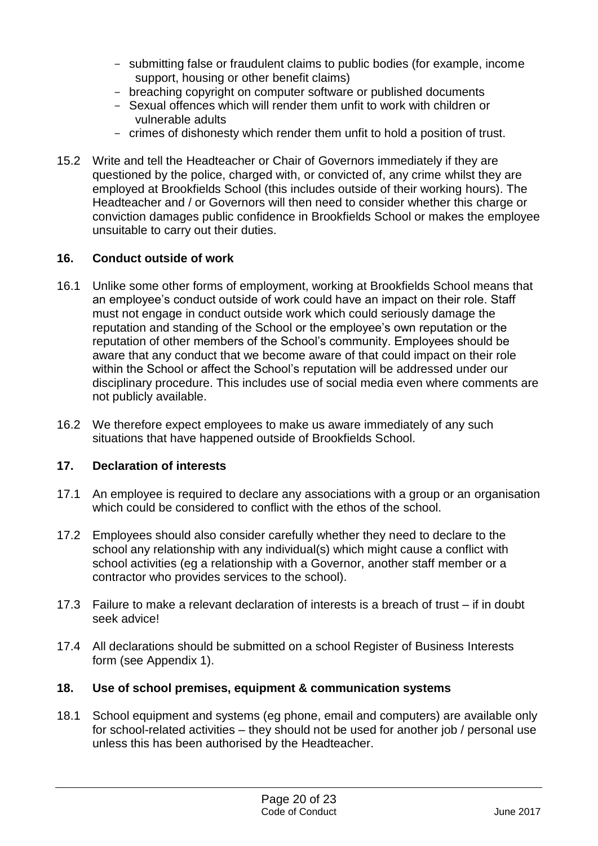- submitting false or fraudulent claims to public bodies (for example, income support, housing or other benefit claims)
- breaching copyright on computer software or published documents
- Sexual offences which will render them unfit to work with children or vulnerable adults
- crimes of dishonesty which render them unfit to hold a position of trust.
- 15.2 Write and tell the Headteacher or Chair of Governors immediately if they are questioned by the police, charged with, or convicted of, any crime whilst they are employed at Brookfields School (this includes outside of their working hours). The Headteacher and / or Governors will then need to consider whether this charge or conviction damages public confidence in Brookfields School or makes the employee unsuitable to carry out their duties.

#### **16. Conduct outside of work**

- 16.1 Unlike some other forms of employment, working at Brookfields School means that an employee's conduct outside of work could have an impact on their role. Staff must not engage in conduct outside work which could seriously damage the reputation and standing of the School or the employee's own reputation or the reputation of other members of the School's community. Employees should be aware that any conduct that we become aware of that could impact on their role within the School or affect the School's reputation will be addressed under our disciplinary procedure. This includes use of social media even where comments are not publicly available.
- 16.2 We therefore expect employees to make us aware immediately of any such situations that have happened outside of Brookfields School.

#### **17. Declaration of interests**

- 17.1 An employee is required to declare any associations with a group or an organisation which could be considered to conflict with the ethos of the school.
- 17.2 Employees should also consider carefully whether they need to declare to the school any relationship with any individual(s) which might cause a conflict with school activities (eg a relationship with a Governor, another staff member or a contractor who provides services to the school).
- 17.3 Failure to make a relevant declaration of interests is a breach of trust if in doubt seek advice!
- 17.4 All declarations should be submitted on a school Register of Business Interests form (see Appendix 1).

#### **18. Use of school premises, equipment & communication systems**

18.1 School equipment and systems (eg phone, email and computers) are available only for school-related activities – they should not be used for another job / personal use unless this has been authorised by the Headteacher.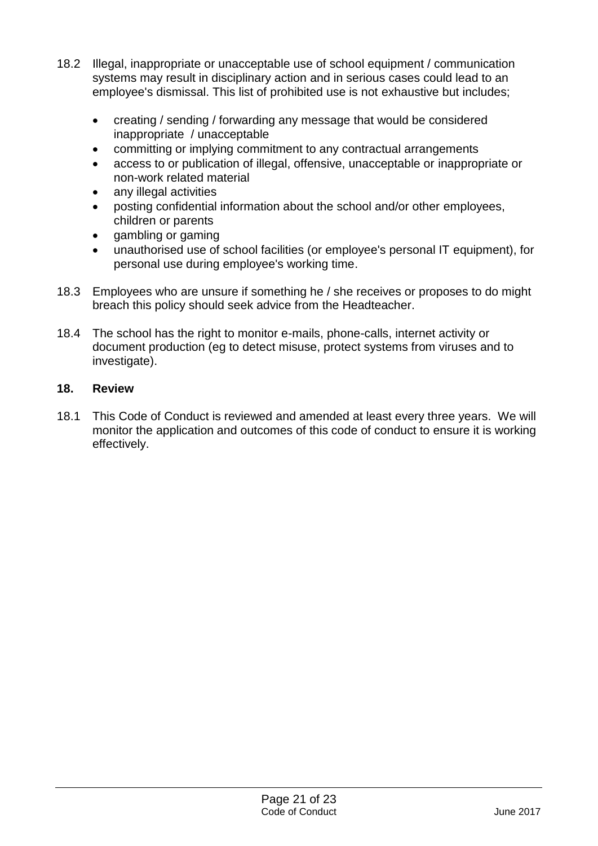- 18.2 Illegal, inappropriate or unacceptable use of school equipment / communication systems may result in disciplinary action and in serious cases could lead to an employee's dismissal. This list of prohibited use is not exhaustive but includes;
	- creating / sending / forwarding any message that would be considered inappropriate / unacceptable
	- committing or implying commitment to any contractual arrangements
	- access to or publication of illegal, offensive, unacceptable or inappropriate or non-work related material
	- any illegal activities
	- posting confidential information about the school and/or other employees, children or parents
	- gambling or gaming
	- unauthorised use of school facilities (or employee's personal IT equipment), for personal use during employee's working time.
- 18.3 Employees who are unsure if something he / she receives or proposes to do might breach this policy should seek advice from the Headteacher.
- 18.4 The school has the right to monitor e-mails, phone-calls, internet activity or document production (eg to detect misuse, protect systems from viruses and to investigate).

# **18. Review**

18.1 This Code of Conduct is reviewed and amended at least every three years. We will monitor the application and outcomes of this code of conduct to ensure it is working effectively.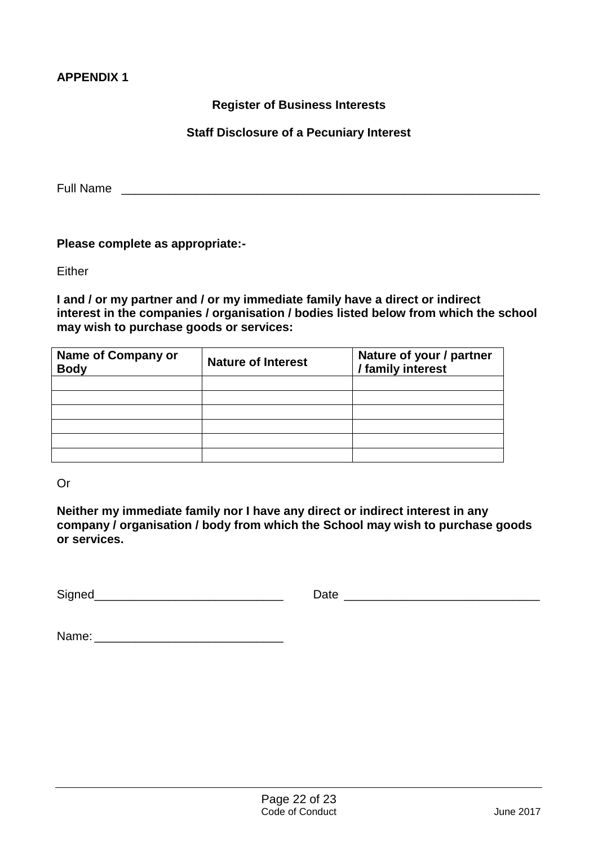#### **APPENDIX 1**

#### **Register of Business Interests**

#### **Staff Disclosure of a Pecuniary Interest**

Full Name \_\_\_\_\_\_\_\_\_\_\_\_\_\_\_\_\_\_\_\_\_\_\_\_\_\_\_\_\_\_\_\_\_\_\_\_\_\_\_\_\_\_\_\_\_\_\_\_\_\_\_\_\_\_\_\_\_\_\_\_\_\_

#### **Please complete as appropriate:-**

**Either** 

**I and / or my partner and / or my immediate family have a direct or indirect interest in the companies / organisation / bodies listed below from which the school may wish to purchase goods or services:**

| <b>Name of Company or</b><br><b>Body</b> | <b>Nature of Interest</b> | Nature of your / partner<br>/ family interest |  |
|------------------------------------------|---------------------------|-----------------------------------------------|--|
|                                          |                           |                                               |  |
|                                          |                           |                                               |  |
|                                          |                           |                                               |  |
|                                          |                           |                                               |  |
|                                          |                           |                                               |  |
|                                          |                           |                                               |  |

Or

**Neither my immediate family nor I have any direct or indirect interest in any company / organisation / body from which the School may wish to purchase goods or services.**

Signed\_\_\_\_\_\_\_\_\_\_\_\_\_\_\_\_\_\_\_\_\_\_\_\_\_\_\_\_ Date \_\_\_\_\_\_\_\_\_\_\_\_\_\_\_\_\_\_\_\_\_\_\_\_\_\_\_\_\_

| Name: |  |
|-------|--|
|-------|--|